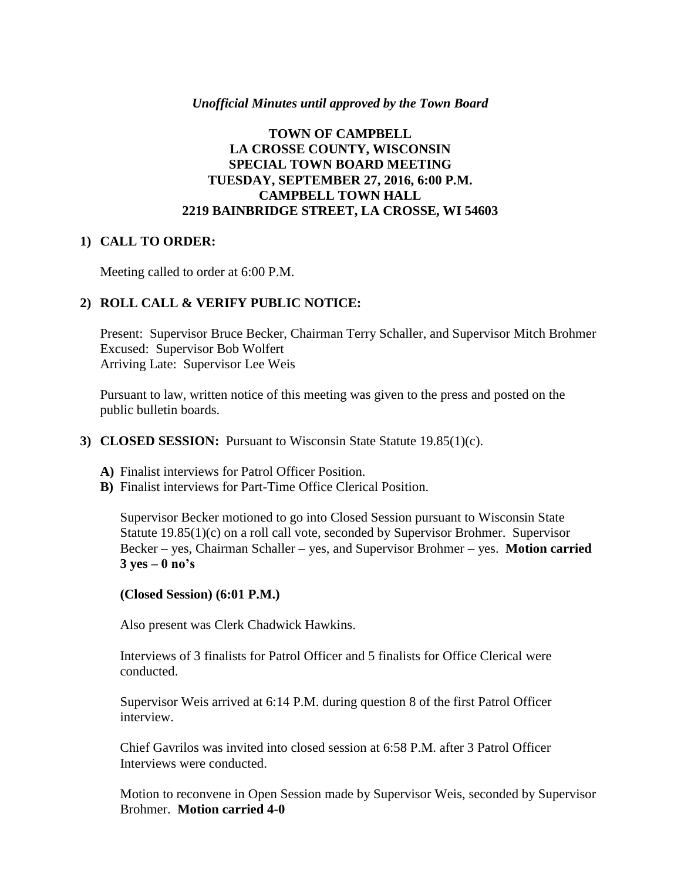#### *Unofficial Minutes until approved by the Town Board*

## **TOWN OF CAMPBELL LA CROSSE COUNTY, WISCONSIN SPECIAL TOWN BOARD MEETING TUESDAY, SEPTEMBER 27, 2016, 6:00 P.M. CAMPBELL TOWN HALL 2219 BAINBRIDGE STREET, LA CROSSE, WI 54603**

#### **1) CALL TO ORDER:**

Meeting called to order at 6:00 P.M.

### **2) ROLL CALL & VERIFY PUBLIC NOTICE:**

Present: Supervisor Bruce Becker, Chairman Terry Schaller, and Supervisor Mitch Brohmer Excused: Supervisor Bob Wolfert Arriving Late: Supervisor Lee Weis

Pursuant to law, written notice of this meeting was given to the press and posted on the public bulletin boards.

#### **3) CLOSED SESSION:** Pursuant to Wisconsin State Statute 19.85(1)(c).

- **A)** Finalist interviews for Patrol Officer Position.
- **B)** Finalist interviews for Part-Time Office Clerical Position.

Supervisor Becker motioned to go into Closed Session pursuant to Wisconsin State Statute 19.85(1)(c) on a roll call vote, seconded by Supervisor Brohmer. Supervisor Becker – yes, Chairman Schaller – yes, and Supervisor Brohmer – yes. **Motion carried 3 yes – 0 no's**

#### **(Closed Session) (6:01 P.M.)**

Also present was Clerk Chadwick Hawkins.

Interviews of 3 finalists for Patrol Officer and 5 finalists for Office Clerical were conducted.

Supervisor Weis arrived at 6:14 P.M. during question 8 of the first Patrol Officer interview.

Chief Gavrilos was invited into closed session at 6:58 P.M. after 3 Patrol Officer Interviews were conducted.

Motion to reconvene in Open Session made by Supervisor Weis, seconded by Supervisor Brohmer. **Motion carried 4-0**